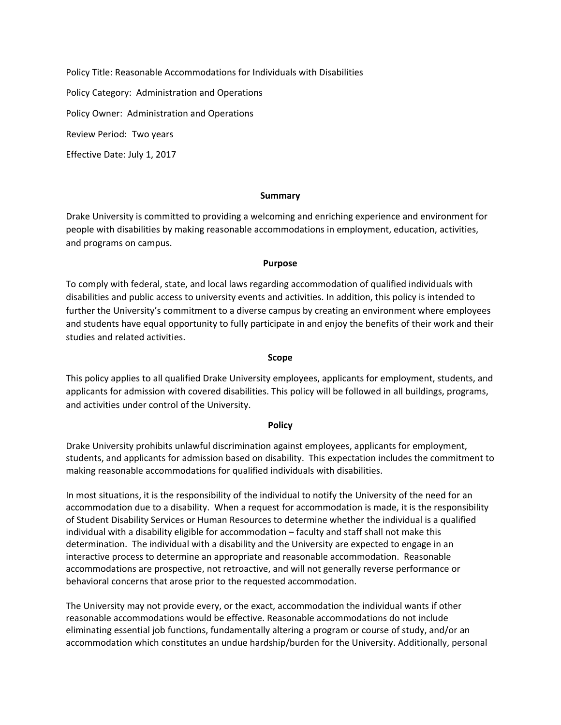Policy Title: Reasonable Accommodations for Individuals with Disabilities

Policy Category: Administration and Operations

Policy Owner: Administration and Operations

Review Period: Two years

Effective Date: July 1, 2017

#### **Summary**

Drake University is committed to providing a welcoming and enriching experience and environment for people with disabilities by making reasonable accommodations in employment, education, activities, and programs on campus.

#### **Purpose**

To comply with federal, state, and local laws regarding accommodation of qualified individuals with disabilities and public access to university events and activities. In addition, this policy is intended to further the University's commitment to a diverse campus by creating an environment where employees and students have equal opportunity to fully participate in and enjoy the benefits of their work and their studies and related activities.

#### **Scope**

This policy applies to all qualified Drake University employees, applicants for employment, students, and applicants for admission with covered disabilities. This policy will be followed in all buildings, programs, and activities under control of the University.

### **Policy**

Drake University prohibits unlawful discrimination against employees, applicants for employment, students, and applicants for admission based on disability. This expectation includes the commitment to making reasonable accommodations for qualified individuals with disabilities.

In most situations, it is the responsibility of the individual to notify the University of the need for an accommodation due to a disability. When a request for accommodation is made, it is the responsibility of Student Disability Services or Human Resources to determine whether the individual is a qualified individual with a disability eligible for accommodation – faculty and staff shall not make this determination. The individual with a disability and the University are expected to engage in an interactive process to determine an appropriate and reasonable accommodation. Reasonable accommodations are prospective, not retroactive, and will not generally reverse performance or behavioral concerns that arose prior to the requested accommodation.

The University may not provide every, or the exact, accommodation the individual wants if other reasonable accommodations would be effective. Reasonable accommodations do not include eliminating essential job functions, fundamentally altering a program or course of study, and/or an accommodation which constitutes an undue hardship/burden for the University. Additionally, personal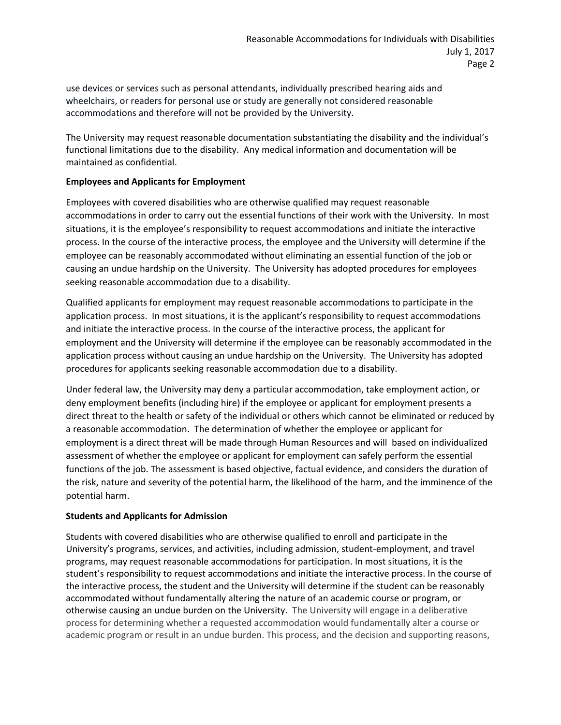use devices or services such as personal attendants, individually prescribed hearing aids and wheelchairs, or readers for personal use or study are generally not considered reasonable accommodations and therefore will not be provided by the University.

The University may request reasonable documentation substantiating the disability and the individual's functional limitations due to the disability. Any medical information and documentation will be maintained as confidential.

## **Employees and Applicants for Employment**

Employees with covered disabilities who are otherwise qualified may request reasonable accommodations in order to carry out the essential functions of their work with the University. In most situations, it is the employee's responsibility to request accommodations and initiate the interactive process. In the course of the interactive process, the employee and the University will determine if the employee can be reasonably accommodated without eliminating an essential function of the job or causing an undue hardship on the University. The University has adopted procedures for employees seeking reasonable accommodation due to a disability.

Qualified applicants for employment may request reasonable accommodations to participate in the application process. In most situations, it is the applicant's responsibility to request accommodations and initiate the interactive process. In the course of the interactive process, the applicant for employment and the University will determine if the employee can be reasonably accommodated in the application process without causing an undue hardship on the University. The University has adopted procedures for applicants seeking reasonable accommodation due to a disability.

Under federal law, the University may deny a particular accommodation, take employment action, or deny employment benefits (including hire) if the employee or applicant for employment presents a direct threat to the health or safety of the individual or others which cannot be eliminated or reduced by a reasonable accommodation. The determination of whether the employee or applicant for employment is a direct threat will be made through Human Resources and will based on individualized assessment of whether the employee or applicant for employment can safely perform the essential functions of the job. The assessment is based objective, factual evidence, and considers the duration of the risk, nature and severity of the potential harm, the likelihood of the harm, and the imminence of the potential harm.

# **Students and Applicants for Admission**

Students with covered disabilities who are otherwise qualified to enroll and participate in the University's programs, services, and activities, including admission, student-employment, and travel programs, may request reasonable accommodations for participation. In most situations, it is the student's responsibility to request accommodations and initiate the interactive process. In the course of the interactive process, the student and the University will determine if the student can be reasonably accommodated without fundamentally altering the nature of an academic course or program, or otherwise causing an undue burden on the University. The University will engage in a deliberative process for determining whether a requested accommodation would fundamentally alter a course or academic program or result in an undue burden. This process, and the decision and supporting reasons,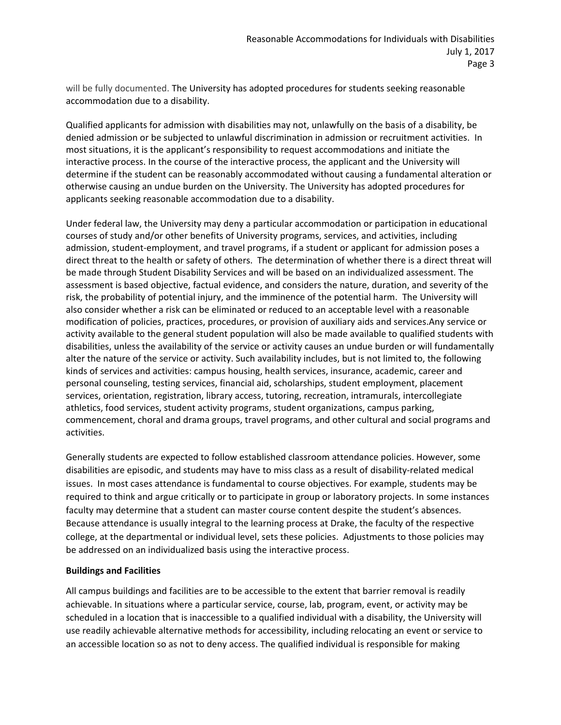will be fully documented. The University has adopted procedures for students seeking reasonable accommodation due to a disability.

Qualified applicants for admission with disabilities may not, unlawfully on the basis of a disability, be denied admission or be subjected to unlawful discrimination in admission or recruitment activities. In most situations, it is the applicant's responsibility to request accommodations and initiate the interactive process. In the course of the interactive process, the applicant and the University will determine if the student can be reasonably accommodated without causing a fundamental alteration or otherwise causing an undue burden on the University. The University has adopted procedures for applicants seeking reasonable accommodation due to a disability.

Under federal law, the University may deny a particular accommodation or participation in educational courses of study and/or other benefits of University programs, services, and activities, including admission, student-employment, and travel programs, if a student or applicant for admission poses a direct threat to the health or safety of others. The determination of whether there is a direct threat will be made through Student Disability Services and will be based on an individualized assessment. The assessment is based objective, factual evidence, and considers the nature, duration, and severity of the risk, the probability of potential injury, and the imminence of the potential harm. The University will also consider whether a risk can be eliminated or reduced to an acceptable level with a reasonable modification of policies, practices, procedures, or provision of auxiliary aids and services.Any service or activity available to the general student population will also be made available to qualified students with disabilities, unless the availability of the service or activity causes an undue burden or will fundamentally alter the nature of the service or activity. Such availability includes, but is not limited to, the following kinds of services and activities: campus housing, health services, insurance, academic, career and personal counseling, testing services, financial aid, scholarships, student employment, placement services, orientation, registration, library access, tutoring, recreation, intramurals, intercollegiate athletics, food services, student activity programs, student organizations, campus parking, commencement, choral and drama groups, travel programs, and other cultural and social programs and activities.

Generally students are expected to follow established classroom attendance policies. However, some disabilities are episodic, and students may have to miss class as a result of disability-related medical issues. In most cases attendance is fundamental to course objectives. For example, students may be required to think and argue critically or to participate in group or laboratory projects. In some instances faculty may determine that a student can master course content despite the student's absences. Because attendance is usually integral to the learning process at Drake, the faculty of the respective college, at the departmental or individual level, sets these policies. Adjustments to those policies may be addressed on an individualized basis using the interactive process.

### **Buildings and Facilities**

All campus buildings and facilities are to be accessible to the extent that barrier removal is readily achievable. In situations where a particular service, course, lab, program, event, or activity may be scheduled in a location that is inaccessible to a qualified individual with a disability, the University will use readily achievable alternative methods for accessibility, including relocating an event or service to an accessible location so as not to deny access. The qualified individual is responsible for making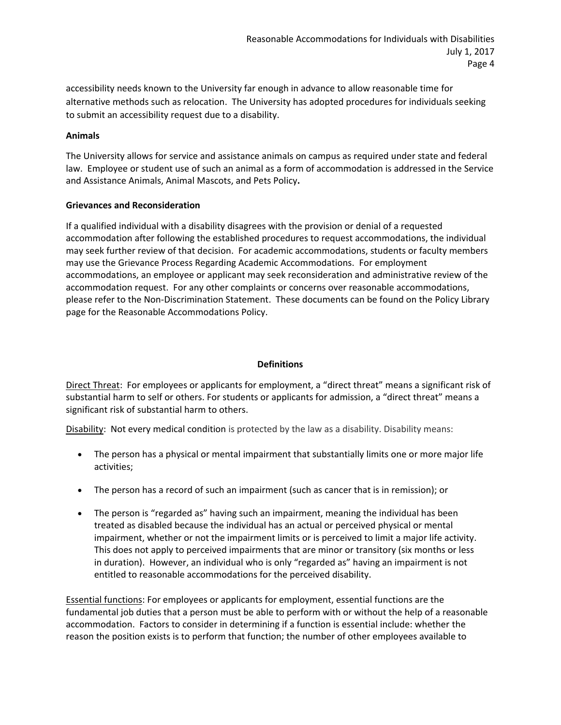accessibility needs known to the University far enough in advance to allow reasonable time for alternative methods such as relocation. The University has adopted procedures for individuals seeking to submit an accessibility request due to a disability.

## **Animals**

The University allows for service and assistance animals on campus as required under state and federal law. Employee or student use of such an animal as a form of accommodation is addressed in the Service and Assistance Animals, Animal Mascots, and Pets Policy**.**

## **Grievances and Reconsideration**

If a qualified individual with a disability disagrees with the provision or denial of a requested accommodation after following the established procedures to request accommodations, the individual may seek further review of that decision. For academic accommodations, students or faculty members may use the Grievance Process Regarding Academic Accommodations. For employment accommodations, an employee or applicant may seek reconsideration and administrative review of the accommodation request. For any other complaints or concerns over reasonable accommodations, please refer to the Non-Discrimination Statement. These documents can be found on the Policy Library page for the Reasonable Accommodations Policy.

## **Definitions**

Direct Threat: For employees or applicants for employment, a "direct threat" means a significant risk of substantial harm to self or others. For students or applicants for admission, a "direct threat" means a significant risk of substantial harm to others.

Disability: Not every medical condition is protected by the law as a disability. Disability means:

- The person has a physical or mental impairment that substantially limits one or more major life activities;
- The person has a record of such an impairment (such as cancer that is in remission); or
- The person is "regarded as" having such an impairment, meaning the individual has been treated as disabled because the individual has an actual or perceived physical or mental impairment, whether or not the impairment limits or is perceived to limit a major life activity. This does not apply to perceived impairments that are minor or transitory (six months or less in duration). However, an individual who is only "regarded as" having an impairment is not entitled to reasonable accommodations for the perceived disability.

Essential functions: For employees or applicants for employment, essential functions are the fundamental job duties that a person must be able to perform with or without the help of a reasonable accommodation. Factors to consider in determining if a function is essential include: whether the reason the position exists is to perform that function; the number of other employees available to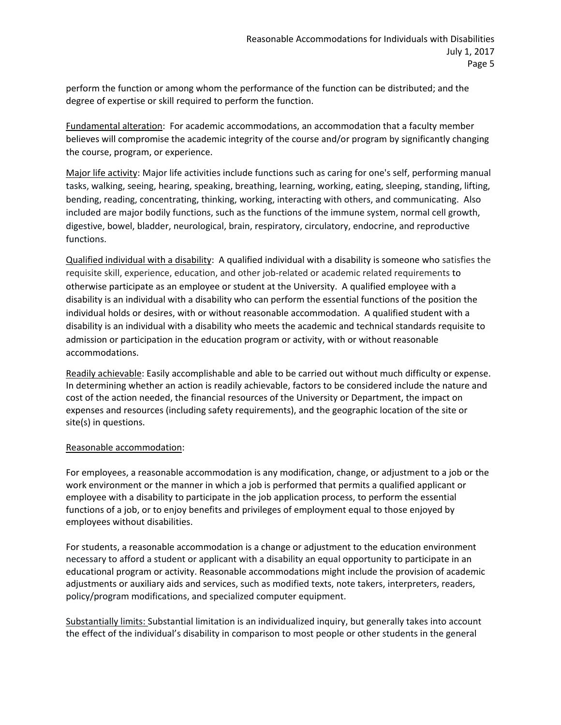perform the function or among whom the performance of the function can be distributed; and the degree of expertise or skill required to perform the function.

Fundamental alteration: For academic accommodations, an accommodation that a faculty member believes will compromise the academic integrity of the course and/or program by significantly changing the course, program, or experience.

Major life activity: Major life activities include functions such as caring for one's self, performing manual tasks, walking, seeing, hearing, speaking, breathing, learning, working, eating, sleeping, standing, lifting, bending, reading, concentrating, thinking, working, interacting with others, and communicating. Also included are major bodily functions, such as the functions of the immune system, normal cell growth, digestive, bowel, bladder, neurological, brain, respiratory, circulatory, endocrine, and reproductive functions.

Qualified individual with a disability: A qualified individual with a disability is someone who satisfies the requisite skill, experience, education, and other job-related or academic related requirements to otherwise participate as an employee or student at the University. A qualified employee with a disability is an individual with a disability who can perform the essential functions of the position the individual holds or desires, with or without reasonable accommodation. A qualified student with a disability is an individual with a disability who meets the academic and technical standards requisite to admission or participation in the education program or activity, with or without reasonable accommodations.

Readily achievable: Easily accomplishable and able to be carried out without much difficulty or expense. In determining whether an action is readily achievable, factors to be considered include the nature and cost of the action needed, the financial resources of the University or Department, the impact on expenses and resources (including safety requirements), and the geographic location of the site or site(s) in questions.

# Reasonable accommodation:

For employees, a reasonable accommodation is any modification, change, or adjustment to a job or the work environment or the manner in which a job is performed that permits a qualified applicant or employee with a disability to participate in the job application process, to perform the essential functions of a job, or to enjoy benefits and privileges of employment equal to those enjoyed by employees without disabilities.

For students, a reasonable accommodation is a change or adjustment to the education environment necessary to afford a student or applicant with a disability an equal opportunity to participate in an educational program or activity. Reasonable accommodations might include the provision of academic adjustments or auxiliary aids and services, such as modified texts, note takers, interpreters, readers, policy/program modifications, and specialized computer equipment.

Substantially limits: Substantial limitation is an individualized inquiry, but generally takes into account the effect of the individual's disability in comparison to most people or other students in the general